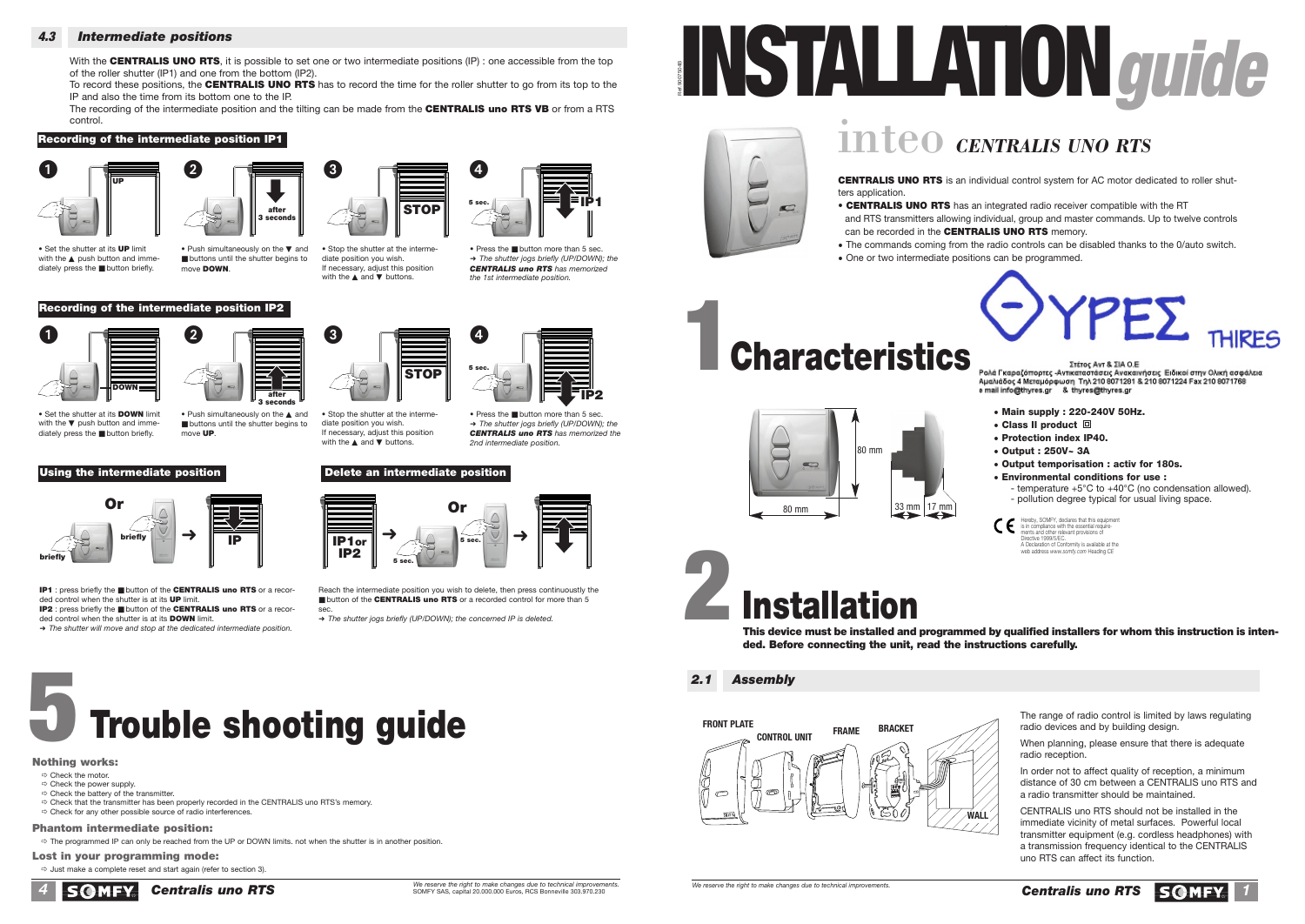#### **4.3** *Intermediate positions*

With the CENTRALIS UNO RTS, it is possible to set one or two intermediate positions (IP) : one accessible from the top of the roller shutter (IP1) and one from the bottom (IP2).

To record these positions, the **CENTRALIS UNO RTS** has to record the time for the roller shutter to go from its top to the IP and also the time from its bottom one to the IP.

The recording of the intermediate position and the tilting can be made from the **CENTRALIS uno RTS VB** or from a RTS control.

#### **Recording of the intermediate position IP1**





• Set the shutter at its **UP** limit with the ▲ push button and immediately press the ■ button briefly.

Push simultaneously on the ▼ and ■ buttons until the shutter begins to move **DOWN**.







• Set the shutter at its **DOWN** limit with the ▼ push button and immediately press the ■ button briefly.



#### **Using the intermediate position Delete an intermediate position**



**IP1** : press briefly the ■ button of the **CENTRALIS uno RTS** or a recorded control when the shutter is at its **UP** limit. **IP2** : press briefly the ■ button of the **CENTRALIS uno RTS** or a recor-

ded control when the shutter is at its **DOWN** limit. ➜ *The shutter will move and stop at the dedicated intermediate position.*



• Stop the shutter at the intermediate position you wish. If necessary, adjust this position with the ▲ and ▼ buttons.

diate position you wish. If necessary, adjust this position with the ▲ and ▼ buttons.

#### • Press the ■ button more than 5 sec. ➜ *The shutter jogs briefly (UP/DOWN); the CENTRALIS uno RTS has memorized the 2nd intermediate position.*

**IP2**

• Press the ■ button more than 5 sec. ➜ *The shutter jogs briefly (UP/DOWN); the CENTRALIS uno RTS has memorized the 1st intermediate position.*



Reach the intermediate position you wish to delete, then press continuoustly the ■ button of the **CENTRALIS uno RTS** or a recorded control for more than 5

sec. ➜ *The shutter jogs briefly (UP/DOWN); the concerned IP is deleted.*

## **5 Trouble shooting guide**

#### **Nothing works:**

- 
- ð Check the motor. ð Check the power supply.
- $\Rightarrow$  Check the battery of the transmitter.
- ð Check that the transmitter has been properly recorded in the CENTRALIS uno RTS's memory. ð Check for any other possible source of radio interferences.

#### **Phantom intermediate position:**

ð The programmed IP can only be reached from the UP or DOWN limits. not when the shutter is in another position.

**Lost in your programming mode:**   $\Rightarrow$  Just make a complete reset and start again (refer to section 3).





## inteo *CENTRALIS UNO RTS*

**CENTRALIS UNO RTS** is ters application. **• CENTRALIS UNO RTS** and RTS transmitters allo

can be recorded in the **C** • The commands coming • One or two intermediate

## **Characteristic**





# **2**<br> **Installation**<br> **This device must be installed and program**

ded. Before connecting the unit, read t

*2.1 Assembly*



 $\overline{W}$  reserve the right to make changes due to technical improvements.





**STOP IP1 IP1** 

**5 sec.**